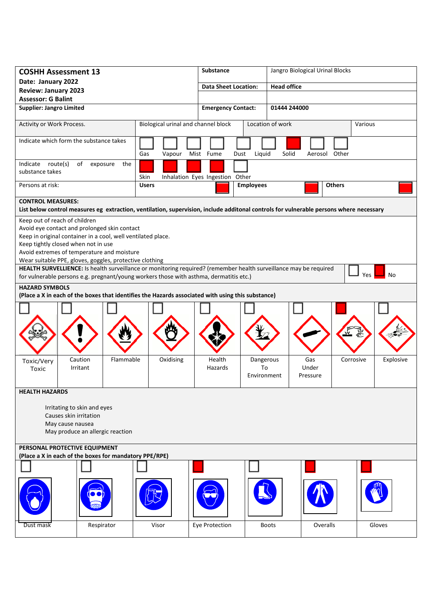| <b>COSHH Assessment 13</b>                                                                                                                                                                                                                                                                                                                                                        |                                         |                                                                                        | Substance                       |                                           | Jangro Biological Urinal Blocks                                                                                                        |                        |  |
|-----------------------------------------------------------------------------------------------------------------------------------------------------------------------------------------------------------------------------------------------------------------------------------------------------------------------------------------------------------------------------------|-----------------------------------------|----------------------------------------------------------------------------------------|---------------------------------|-------------------------------------------|----------------------------------------------------------------------------------------------------------------------------------------|------------------------|--|
| Date: January 2022                                                                                                                                                                                                                                                                                                                                                                |                                         |                                                                                        | <b>Data Sheet Location:</b>     |                                           | <b>Head office</b>                                                                                                                     |                        |  |
| <b>Review: January 2023</b><br><b>Assessor: G Balint</b>                                                                                                                                                                                                                                                                                                                          |                                         |                                                                                        |                                 |                                           |                                                                                                                                        |                        |  |
| <b>Supplier: Jangro Limited</b>                                                                                                                                                                                                                                                                                                                                                   |                                         |                                                                                        |                                 | <b>Emergency Contact:</b><br>01444 244000 |                                                                                                                                        |                        |  |
| Activity or Work Process.                                                                                                                                                                                                                                                                                                                                                         |                                         | Biological urinal and channel block                                                    |                                 | Location of work                          |                                                                                                                                        | Various                |  |
|                                                                                                                                                                                                                                                                                                                                                                                   | Indicate which form the substance takes | Gas<br>Vapour                                                                          | Mist Fume<br>Dust               | Liquid                                    | Solid<br>Aerosol Other                                                                                                                 |                        |  |
| Indicate route(s)<br>substance takes                                                                                                                                                                                                                                                                                                                                              | of<br>the<br>exposure                   | Skin                                                                                   | Inhalation Eyes Ingestion Other |                                           |                                                                                                                                        |                        |  |
| Persons at risk:                                                                                                                                                                                                                                                                                                                                                                  |                                         | <b>Users</b>                                                                           |                                 | <b>Employees</b>                          | <b>Others</b>                                                                                                                          |                        |  |
| <b>CONTROL MEASURES:</b>                                                                                                                                                                                                                                                                                                                                                          |                                         |                                                                                        |                                 |                                           | List below control measures eg extraction, ventilation, supervision, include additonal controls for vulnerable persons where necessary |                        |  |
| Keep out of reach of children                                                                                                                                                                                                                                                                                                                                                     |                                         |                                                                                        |                                 |                                           |                                                                                                                                        |                        |  |
| Avoid eye contact and prolonged skin contact<br>Keep in original container in a cool, well ventilated place.<br>Keep tightly closed when not in use<br>Avoid extremes of temperature and moisture<br>Wear suitable PPE, gloves, goggles, protective clothing<br>HEALTH SURVELLIENCE: Is health surveillance or monitoring required? (remember health surveillance may be required |                                         |                                                                                        |                                 |                                           |                                                                                                                                        |                        |  |
|                                                                                                                                                                                                                                                                                                                                                                                   |                                         | for vulnerable persons e.g. pregnant/young workers those with asthma, dermatitis etc.) |                                 |                                           |                                                                                                                                        | Yes<br>No              |  |
| <b>HAZARD SYMBOLS</b><br>(Place a X in each of the boxes that identifies the Hazards associated with using this substance)                                                                                                                                                                                                                                                        |                                         |                                                                                        |                                 |                                           |                                                                                                                                        |                        |  |
|                                                                                                                                                                                                                                                                                                                                                                                   |                                         |                                                                                        |                                 |                                           |                                                                                                                                        |                        |  |
|                                                                                                                                                                                                                                                                                                                                                                                   |                                         |                                                                                        |                                 |                                           |                                                                                                                                        |                        |  |
| Toxic/Very<br>Toxic                                                                                                                                                                                                                                                                                                                                                               | Flammable<br>Caution<br>Irritant        | Oxidising                                                                              | Health<br>Hazards               | Dangerous<br>To<br>Environment            | Gas<br>Under<br>Pressure                                                                                                               | Explosive<br>Corrosive |  |
| <b>HEALTH HAZARDS</b>                                                                                                                                                                                                                                                                                                                                                             |                                         |                                                                                        |                                 |                                           |                                                                                                                                        |                        |  |
| Irritating to skin and eyes<br>Causes skin irritation<br>May cause nausea<br>May produce an allergic reaction                                                                                                                                                                                                                                                                     |                                         |                                                                                        |                                 |                                           |                                                                                                                                        |                        |  |
| PERSONAL PROTECTIVE EQUIPMENT<br>(Place a X in each of the boxes for mandatory PPE/RPE)                                                                                                                                                                                                                                                                                           |                                         |                                                                                        |                                 |                                           |                                                                                                                                        |                        |  |
|                                                                                                                                                                                                                                                                                                                                                                                   |                                         |                                                                                        |                                 |                                           |                                                                                                                                        |                        |  |
|                                                                                                                                                                                                                                                                                                                                                                                   |                                         |                                                                                        |                                 |                                           |                                                                                                                                        |                        |  |
| Dust mask                                                                                                                                                                                                                                                                                                                                                                         | Respirator                              | Visor                                                                                  | Eye Protection                  | <b>Boots</b>                              | Overalls                                                                                                                               | Gloves                 |  |